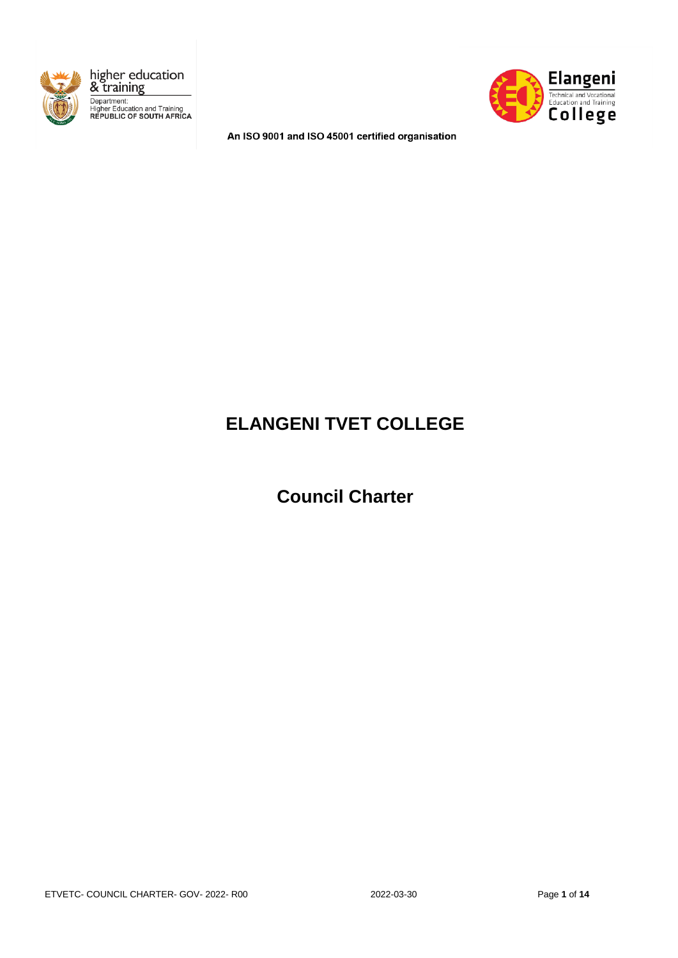





An ISO 9001 and ISO 45001 certified organisation

# **ELANGENI TVET COLLEGE**

## **Council Charter**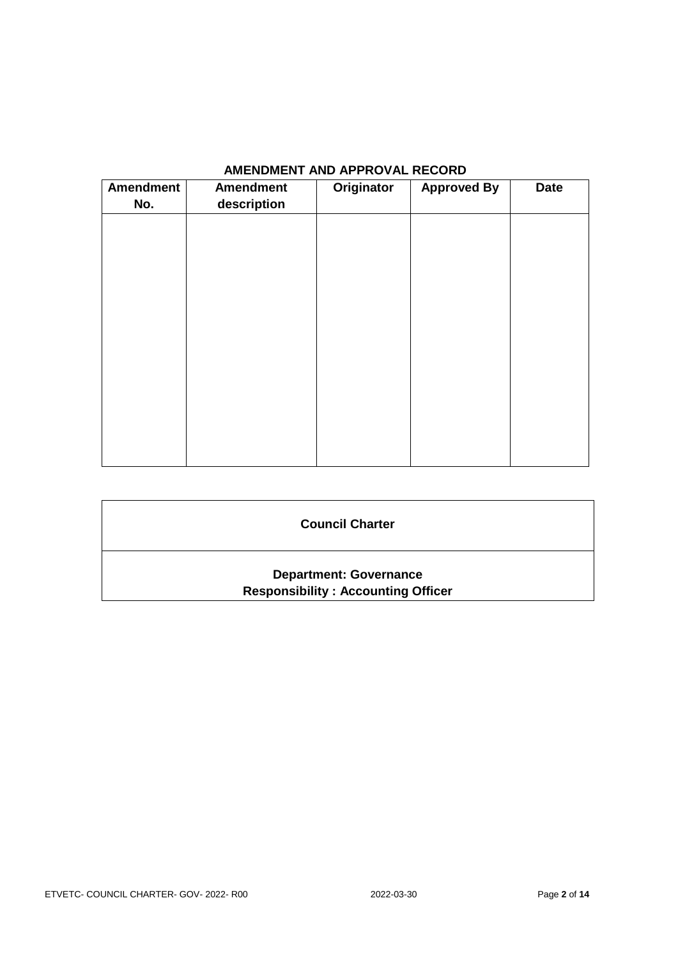| Amendment<br>No. | <b>Amendment</b><br>description | Originator | <b>Approved By</b> | <b>Date</b> |
|------------------|---------------------------------|------------|--------------------|-------------|
|                  |                                 |            |                    |             |
|                  |                                 |            |                    |             |
|                  |                                 |            |                    |             |
|                  |                                 |            |                    |             |
|                  |                                 |            |                    |             |
|                  |                                 |            |                    |             |
|                  |                                 |            |                    |             |
|                  |                                 |            |                    |             |

## **AMENDMENT AND APPROVAL RECORD**

| <b>Council Charter</b>                                                     |  |
|----------------------------------------------------------------------------|--|
| <b>Department: Governance</b><br><b>Responsibility: Accounting Officer</b> |  |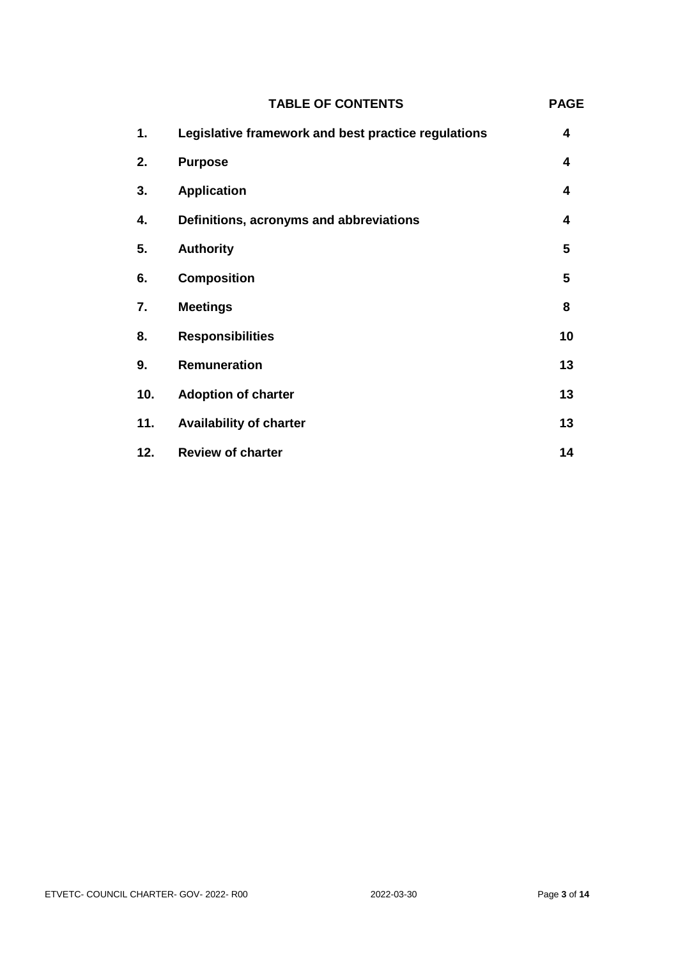|     | <b>TABLE OF CONTENTS</b>                            | <b>PAGE</b> |
|-----|-----------------------------------------------------|-------------|
| 1.  | Legislative framework and best practice regulations | 4           |
| 2.  | <b>Purpose</b>                                      | 4           |
| 3.  | <b>Application</b>                                  | 4           |
| 4.  | Definitions, acronyms and abbreviations             | 4           |
| 5.  | <b>Authority</b>                                    | 5           |
| 6.  | <b>Composition</b>                                  | 5           |
| 7.  | <b>Meetings</b>                                     | 8           |
| 8.  | <b>Responsibilities</b>                             | 10          |
| 9.  | <b>Remuneration</b>                                 | 13          |
| 10. | <b>Adoption of charter</b>                          | 13          |
| 11. | <b>Availability of charter</b>                      | 13          |
| 12. | <b>Review of charter</b>                            | 14          |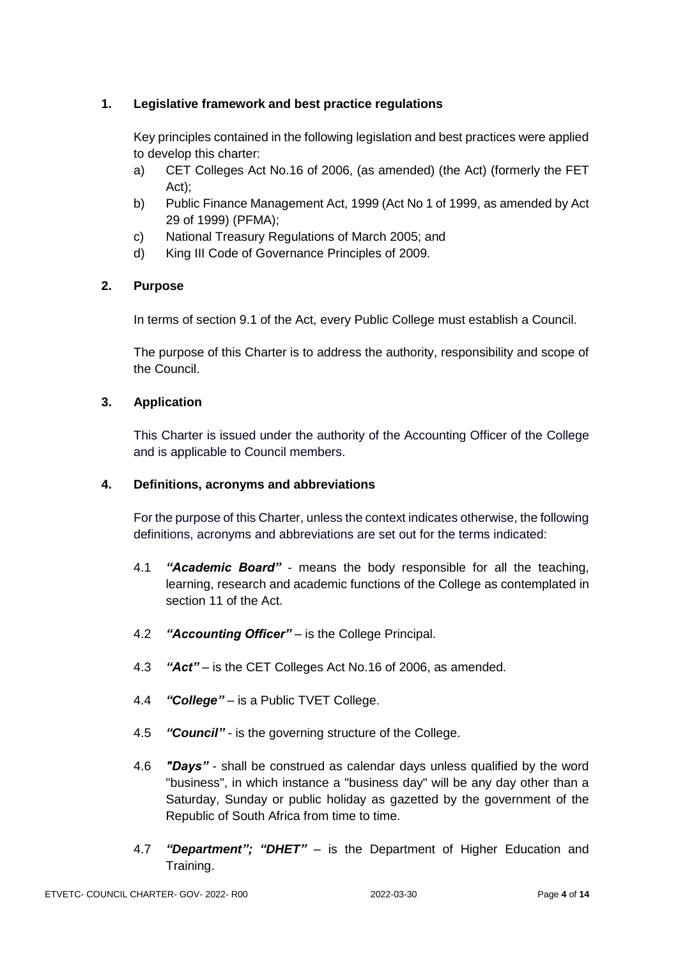### **1. Legislative framework and best practice regulations**

Key principles contained in the following legislation and best practices were applied to develop this charter:

- a) CET Colleges Act No.16 of 2006, (as amended) (the Act) (formerly the FET Act);
- b) Public Finance Management Act, 1999 (Act No 1 of 1999, as amended by Act 29 of 1999) (PFMA);
- c) National Treasury Regulations of March 2005; and
- d) King III Code of Governance Principles of 2009.

### **2. Purpose**

In terms of section 9.1 of the Act, every Public College must establish a Council.

The purpose of this Charter is to address the authority, responsibility and scope of the Council.

#### **3. Application**

This Charter is issued under the authority of the Accounting Officer of the College and is applicable to Council members.

#### **4. Definitions, acronyms and abbreviations**

For the purpose of this Charter, unless the context indicates otherwise, the following definitions, acronyms and abbreviations are set out for the terms indicated:

- 4.1 *"Academic Board"*  means the body responsible for all the teaching, learning, research and academic functions of the College as contemplated in section 11 of the Act.
- 4.2 *"Accounting Officer"* is the College Principal.
- 4.3 *"Act"* is the CET Colleges Act No.16 of 2006, as amended.
- 4.4 *"College"* is a Public TVET College.
- 4.5 *"Council"* is the governing structure of the College.
- 4.6 *"Days"*  shall be construed as calendar days unless qualified by the word "business", in which instance a "business day" will be any day other than a Saturday, Sunday or public holiday as gazetted by the government of the Republic of South Africa from time to time.
- 4.7 *"Department"; "DHET"*  is the Department of Higher Education and Training.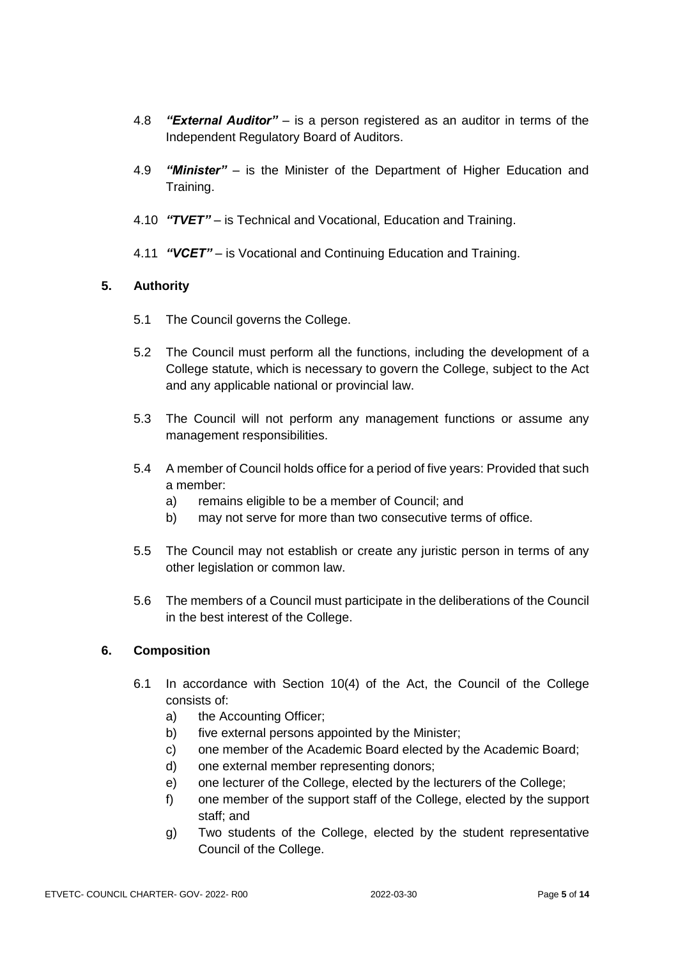- 4.8 *"External Auditor"*  is a person registered as an auditor in terms of the Independent Regulatory Board of Auditors.
- 4.9 *"Minister"* is the Minister of the Department of Higher Education and Training.
- 4.10 *"TVET"* is Technical and Vocational, Education and Training.
- 4.11 *"VCET"* is Vocational and Continuing Education and Training.

### **5. Authority**

- 5.1 The Council governs the College.
- 5.2 The Council must perform all the functions, including the development of a College statute, which is necessary to govern the College, subject to the Act and any applicable national or provincial law.
- 5.3 The Council will not perform any management functions or assume any management responsibilities.
- 5.4 A member of Council holds office for a period of five years: Provided that such a member:
	- a) remains eligible to be a member of Council; and
	- b) may not serve for more than two consecutive terms of office.
- 5.5 The Council may not establish or create any juristic person in terms of any other legislation or common law.
- 5.6 The members of a Council must participate in the deliberations of the Council in the best interest of the College.

#### **6. Composition**

- 6.1 In accordance with Section 10(4) of the Act, the Council of the College consists of:
	- a) the Accounting Officer;
	- b) five external persons appointed by the Minister;
	- c) one member of the Academic Board elected by the Academic Board;
	- d) one external member representing donors;
	- e) one lecturer of the College, elected by the lecturers of the College;
	- f) one member of the support staff of the College, elected by the support staff; and
	- g) Two students of the College, elected by the student representative Council of the College.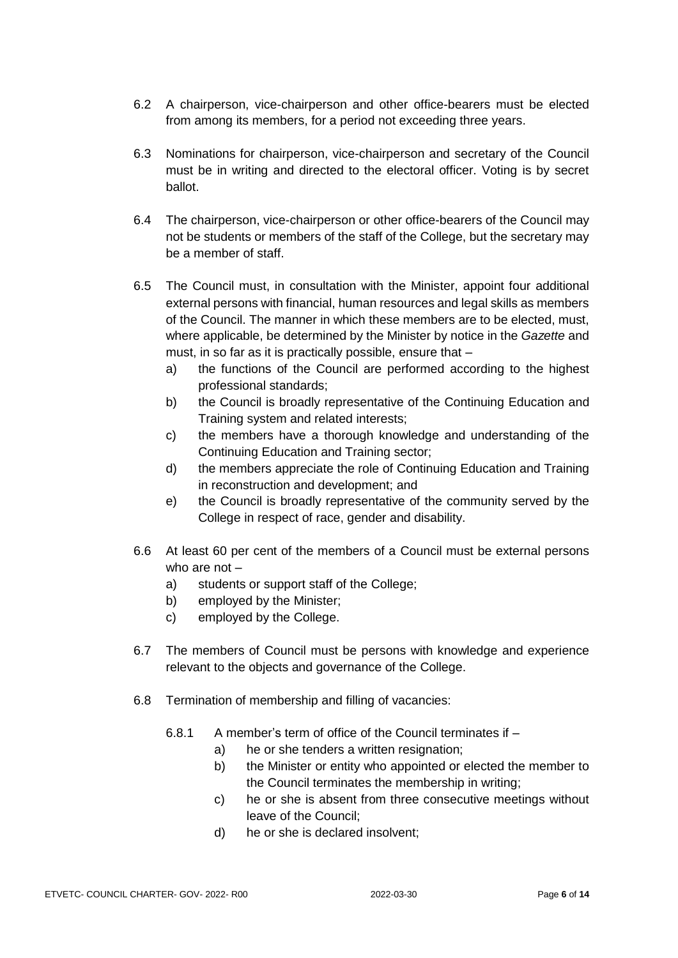- 6.2 A chairperson, vice-chairperson and other office-bearers must be elected from among its members, for a period not exceeding three years.
- 6.3 Nominations for chairperson, vice-chairperson and secretary of the Council must be in writing and directed to the electoral officer. Voting is by secret ballot.
- 6.4 The chairperson, vice-chairperson or other office-bearers of the Council may not be students or members of the staff of the College, but the secretary may be a member of staff.
- 6.5 The Council must, in consultation with the Minister, appoint four additional external persons with financial, human resources and legal skills as members of the Council. The manner in which these members are to be elected, must, where applicable, be determined by the Minister by notice in the *Gazette* and must, in so far as it is practically possible, ensure that –
	- a) the functions of the Council are performed according to the highest professional standards;
	- b) the Council is broadly representative of the Continuing Education and Training system and related interests;
	- c) the members have a thorough knowledge and understanding of the Continuing Education and Training sector;
	- d) the members appreciate the role of Continuing Education and Training in reconstruction and development; and
	- e) the Council is broadly representative of the community served by the College in respect of race, gender and disability.
- 6.6 At least 60 per cent of the members of a Council must be external persons who are not –
	- a) students or support staff of the College;
	- b) employed by the Minister;
	- c) employed by the College.
- 6.7 The members of Council must be persons with knowledge and experience relevant to the objects and governance of the College.
- 6.8 Termination of membership and filling of vacancies:
	- 6.8.1 A member's term of office of the Council terminates if
		- a) he or she tenders a written resignation;
		- b) the Minister or entity who appointed or elected the member to the Council terminates the membership in writing;
		- c) he or she is absent from three consecutive meetings without leave of the Council;
		- d) he or she is declared insolvent;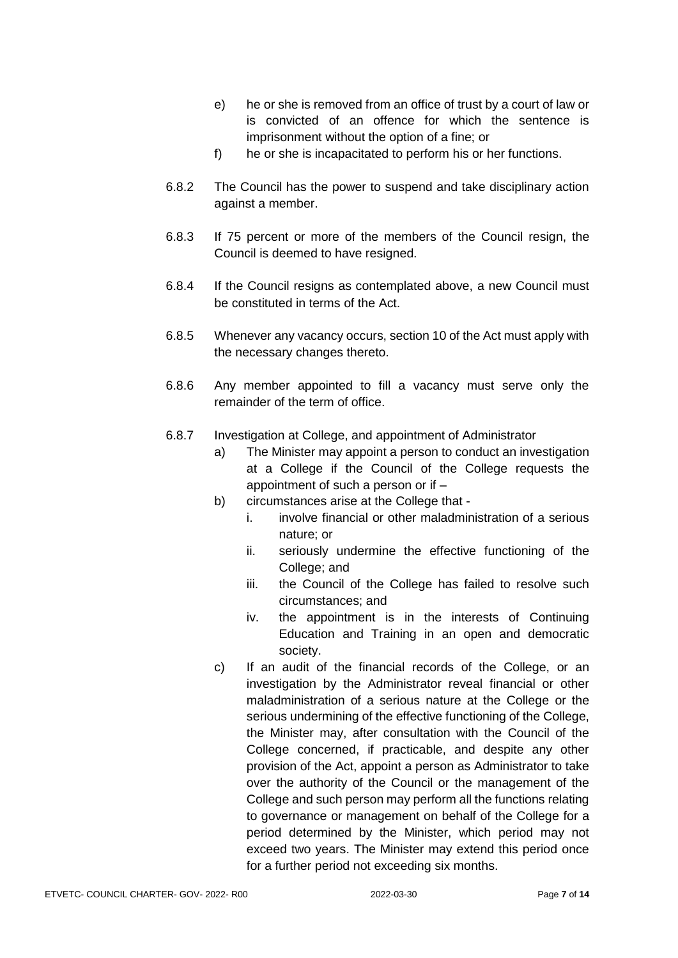- e) he or she is removed from an office of trust by a court of law or is convicted of an offence for which the sentence is imprisonment without the option of a fine; or
- f) he or she is incapacitated to perform his or her functions.
- 6.8.2 The Council has the power to suspend and take disciplinary action against a member.
- 6.8.3 If 75 percent or more of the members of the Council resign, the Council is deemed to have resigned.
- 6.8.4 If the Council resigns as contemplated above, a new Council must be constituted in terms of the Act.
- 6.8.5 Whenever any vacancy occurs, section 10 of the Act must apply with the necessary changes thereto.
- 6.8.6 Any member appointed to fill a vacancy must serve only the remainder of the term of office.
- 6.8.7 Investigation at College, and appointment of Administrator
	- a) The Minister may appoint a person to conduct an investigation at a College if the Council of the College requests the appointment of such a person or if –
	- b) circumstances arise at the College that
		- i. involve financial or other maladministration of a serious nature; or
		- ii. seriously undermine the effective functioning of the College; and
		- iii. the Council of the College has failed to resolve such circumstances; and
		- iv. the appointment is in the interests of Continuing Education and Training in an open and democratic society.
	- c) If an audit of the financial records of the College, or an investigation by the Administrator reveal financial or other maladministration of a serious nature at the College or the serious undermining of the effective functioning of the College, the Minister may, after consultation with the Council of the College concerned, if practicable, and despite any other provision of the Act, appoint a person as Administrator to take over the authority of the Council or the management of the College and such person may perform all the functions relating to governance or management on behalf of the College for a period determined by the Minister, which period may not exceed two years. The Minister may extend this period once for a further period not exceeding six months.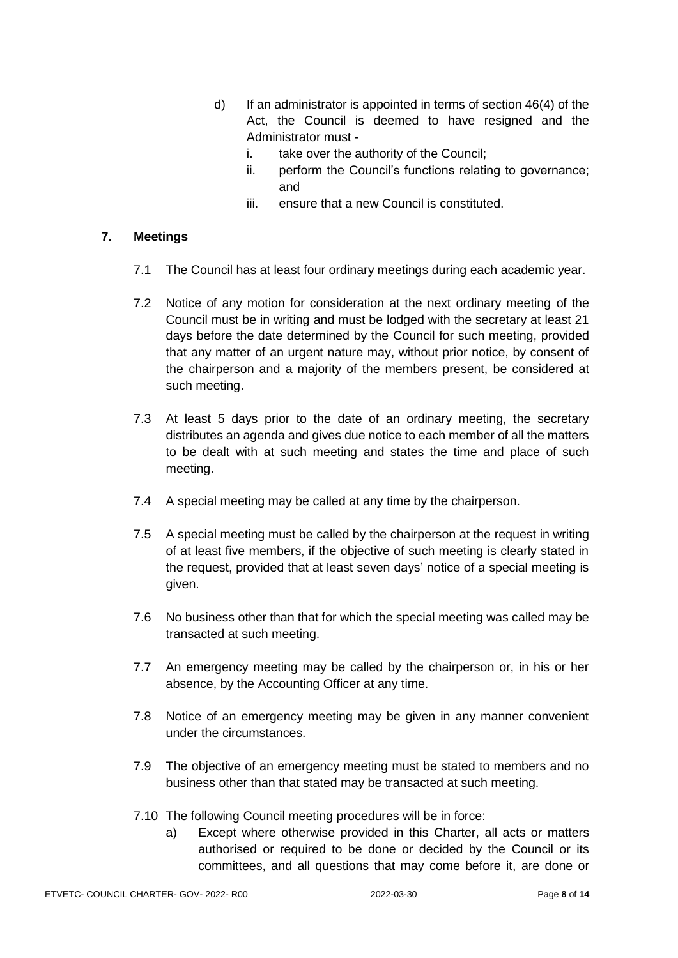- d) If an administrator is appointed in terms of section 46(4) of the Act, the Council is deemed to have resigned and the Administrator must
	- i. take over the authority of the Council;
	- ii. perform the Council's functions relating to governance; and
	- iii. ensure that a new Council is constituted.

### **7. Meetings**

- 7.1 The Council has at least four ordinary meetings during each academic year.
- 7.2 Notice of any motion for consideration at the next ordinary meeting of the Council must be in writing and must be lodged with the secretary at least 21 days before the date determined by the Council for such meeting, provided that any matter of an urgent nature may, without prior notice, by consent of the chairperson and a majority of the members present, be considered at such meeting.
- 7.3 At least 5 days prior to the date of an ordinary meeting, the secretary distributes an agenda and gives due notice to each member of all the matters to be dealt with at such meeting and states the time and place of such meeting.
- 7.4 A special meeting may be called at any time by the chairperson.
- 7.5 A special meeting must be called by the chairperson at the request in writing of at least five members, if the objective of such meeting is clearly stated in the request, provided that at least seven days' notice of a special meeting is given.
- 7.6 No business other than that for which the special meeting was called may be transacted at such meeting.
- 7.7 An emergency meeting may be called by the chairperson or, in his or her absence, by the Accounting Officer at any time.
- 7.8 Notice of an emergency meeting may be given in any manner convenient under the circumstances.
- 7.9 The objective of an emergency meeting must be stated to members and no business other than that stated may be transacted at such meeting.
- 7.10 The following Council meeting procedures will be in force:
	- a) Except where otherwise provided in this Charter, all acts or matters authorised or required to be done or decided by the Council or its committees, and all questions that may come before it, are done or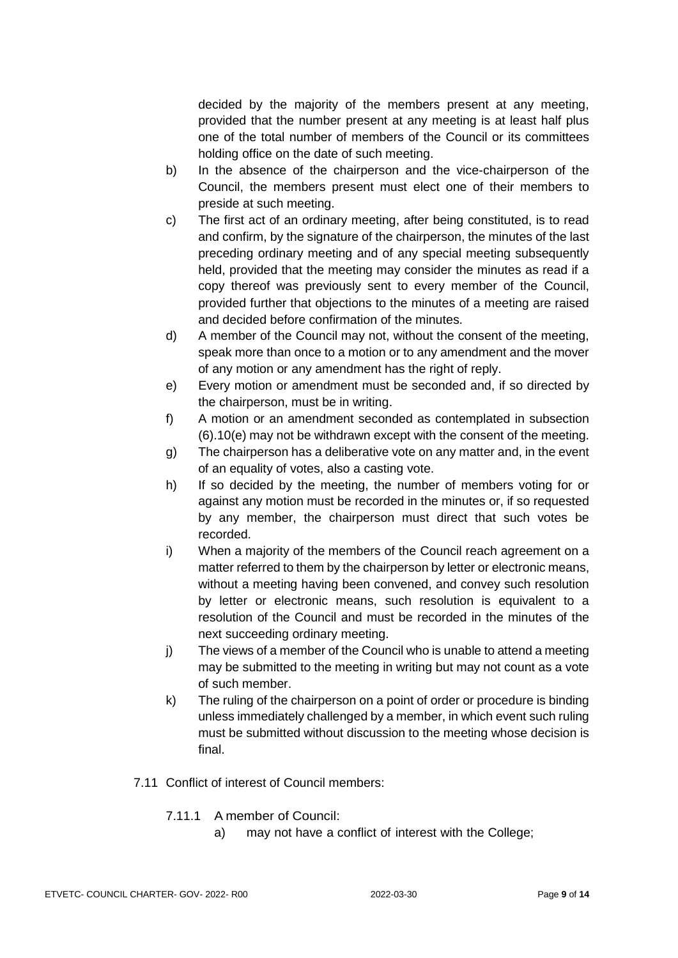decided by the majority of the members present at any meeting, provided that the number present at any meeting is at least half plus one of the total number of members of the Council or its committees holding office on the date of such meeting.

- b) In the absence of the chairperson and the vice-chairperson of the Council, the members present must elect one of their members to preside at such meeting.
- c) The first act of an ordinary meeting, after being constituted, is to read and confirm, by the signature of the chairperson, the minutes of the last preceding ordinary meeting and of any special meeting subsequently held, provided that the meeting may consider the minutes as read if a copy thereof was previously sent to every member of the Council, provided further that objections to the minutes of a meeting are raised and decided before confirmation of the minutes.
- d) A member of the Council may not, without the consent of the meeting, speak more than once to a motion or to any amendment and the mover of any motion or any amendment has the right of reply.
- e) Every motion or amendment must be seconded and, if so directed by the chairperson, must be in writing.
- f) A motion or an amendment seconded as contemplated in subsection (6).10(e) may not be withdrawn except with the consent of the meeting.
- g) The chairperson has a deliberative vote on any matter and, in the event of an equality of votes, also a casting vote.
- h) If so decided by the meeting, the number of members voting for or against any motion must be recorded in the minutes or, if so requested by any member, the chairperson must direct that such votes be recorded.
- i) When a majority of the members of the Council reach agreement on a matter referred to them by the chairperson by letter or electronic means, without a meeting having been convened, and convey such resolution by letter or electronic means, such resolution is equivalent to a resolution of the Council and must be recorded in the minutes of the next succeeding ordinary meeting.
- j) The views of a member of the Council who is unable to attend a meeting may be submitted to the meeting in writing but may not count as a vote of such member.
- k) The ruling of the chairperson on a point of order or procedure is binding unless immediately challenged by a member, in which event such ruling must be submitted without discussion to the meeting whose decision is final.
- 7.11 Conflict of interest of Council members:
	- 7.11.1 A member of Council:
		- a) may not have a conflict of interest with the College;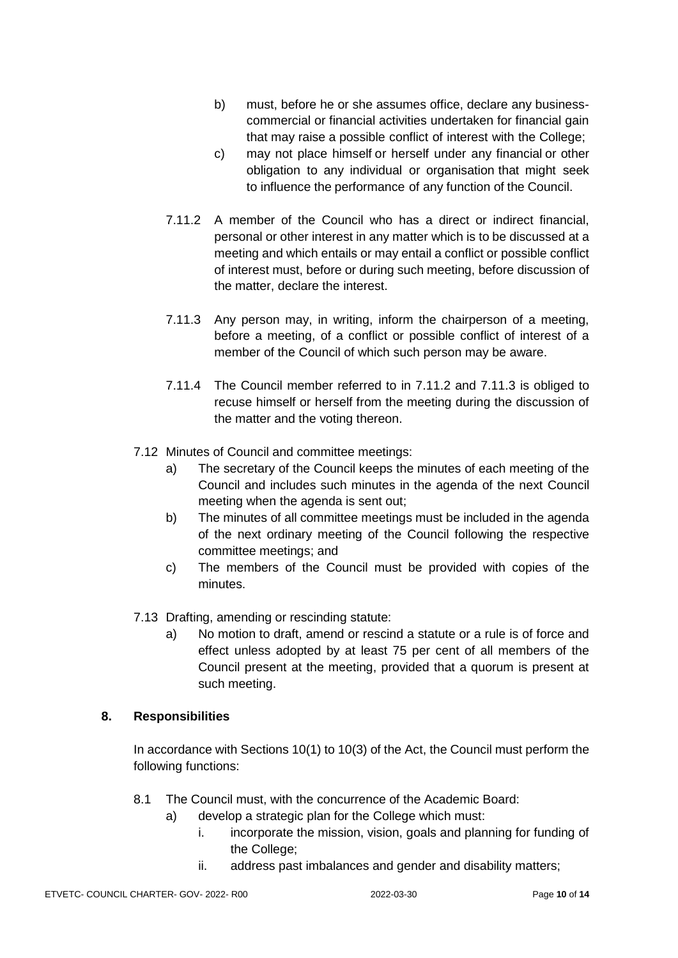- b) must, before he or she assumes office, declare any businesscommercial or financial activities undertaken for financial gain that may raise a possible conflict of interest with the College;
- c) may not place himself or herself under any financial or other obligation to any individual or organisation that might seek to influence the performance of any function of the Council.
- 7.11.2 A member of the Council who has a direct or indirect financial, personal or other interest in any matter which is to be discussed at a meeting and which entails or may entail a conflict or possible conflict of interest must, before or during such meeting, before discussion of the matter, declare the interest.
- 7.11.3 Any person may, in writing, inform the chairperson of a meeting, before a meeting, of a conflict or possible conflict of interest of a member of the Council of which such person may be aware.
- 7.11.4 The Council member referred to in 7.11.2 and 7.11.3 is obliged to recuse himself or herself from the meeting during the discussion of the matter and the voting thereon.
- 7.12 Minutes of Council and committee meetings:
	- a) The secretary of the Council keeps the minutes of each meeting of the Council and includes such minutes in the agenda of the next Council meeting when the agenda is sent out;
	- b) The minutes of all committee meetings must be included in the agenda of the next ordinary meeting of the Council following the respective committee meetings; and
	- c) The members of the Council must be provided with copies of the minutes.
- 7.13 Drafting, amending or rescinding statute:
	- a) No motion to draft, amend or rescind a statute or a rule is of force and effect unless adopted by at least 75 per cent of all members of the Council present at the meeting, provided that a quorum is present at such meeting.

#### **8. Responsibilities**

In accordance with Sections 10(1) to 10(3) of the Act, the Council must perform the following functions:

- 8.1 The Council must, with the concurrence of the Academic Board:
	- a) develop a strategic plan for the College which must:
		- i. incorporate the mission, vision, goals and planning for funding of the College;
		- ii. address past imbalances and gender and disability matters;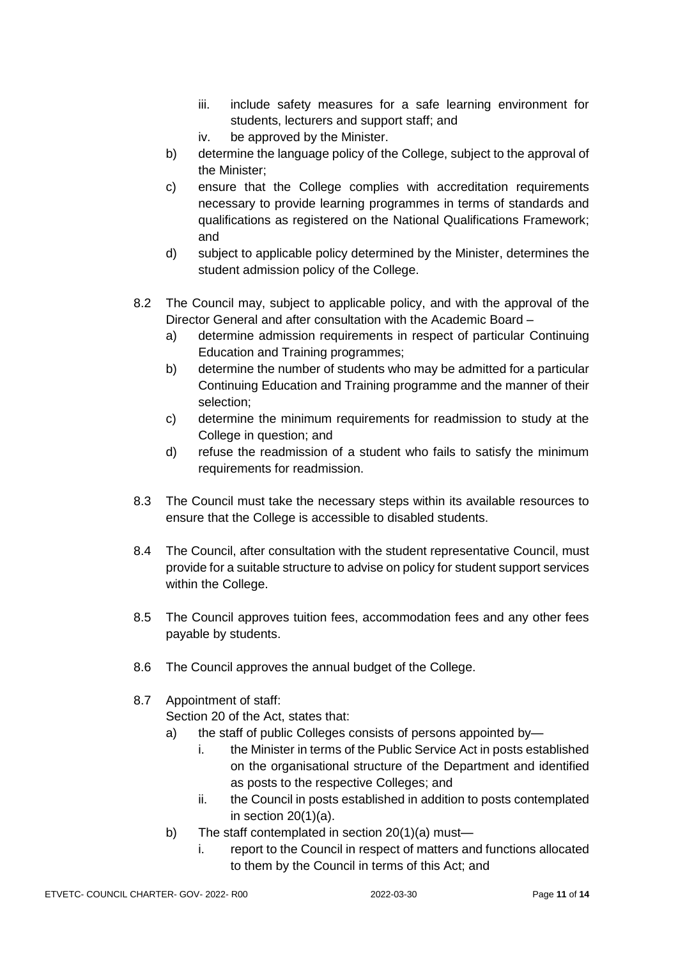- iii. include safety measures for a safe learning environment for students, lecturers and support staff; and
- iv. be approved by the Minister.
- b) determine the language policy of the College, subject to the approval of the Minister;
- c) ensure that the College complies with accreditation requirements necessary to provide learning programmes in terms of standards and qualifications as registered on the National Qualifications Framework; and
- d) subject to applicable policy determined by the Minister, determines the student admission policy of the College.
- 8.2 The Council may, subject to applicable policy, and with the approval of the Director General and after consultation with the Academic Board –
	- a) determine admission requirements in respect of particular Continuing Education and Training programmes;
	- b) determine the number of students who may be admitted for a particular Continuing Education and Training programme and the manner of their selection;
	- c) determine the minimum requirements for readmission to study at the College in question; and
	- d) refuse the readmission of a student who fails to satisfy the minimum requirements for readmission.
- 8.3 The Council must take the necessary steps within its available resources to ensure that the College is accessible to disabled students.
- 8.4 The Council, after consultation with the student representative Council, must provide for a suitable structure to advise on policy for student support services within the College.
- 8.5 The Council approves tuition fees, accommodation fees and any other fees payable by students.
- 8.6 The Council approves the annual budget of the College.
- 8.7 Appointment of staff:

Section 20 of the Act, states that:

- a) the staff of public Colleges consists of persons appointed by
	- i. the Minister in terms of the Public Service Act in posts established on the organisational structure of the Department and identified as posts to the respective Colleges; and
	- ii. the Council in posts established in addition to posts contemplated in section  $20(1)(a)$ .
- b) The staff contemplated in section 20(1)(a) must
	- i. report to the Council in respect of matters and functions allocated to them by the Council in terms of this Act; and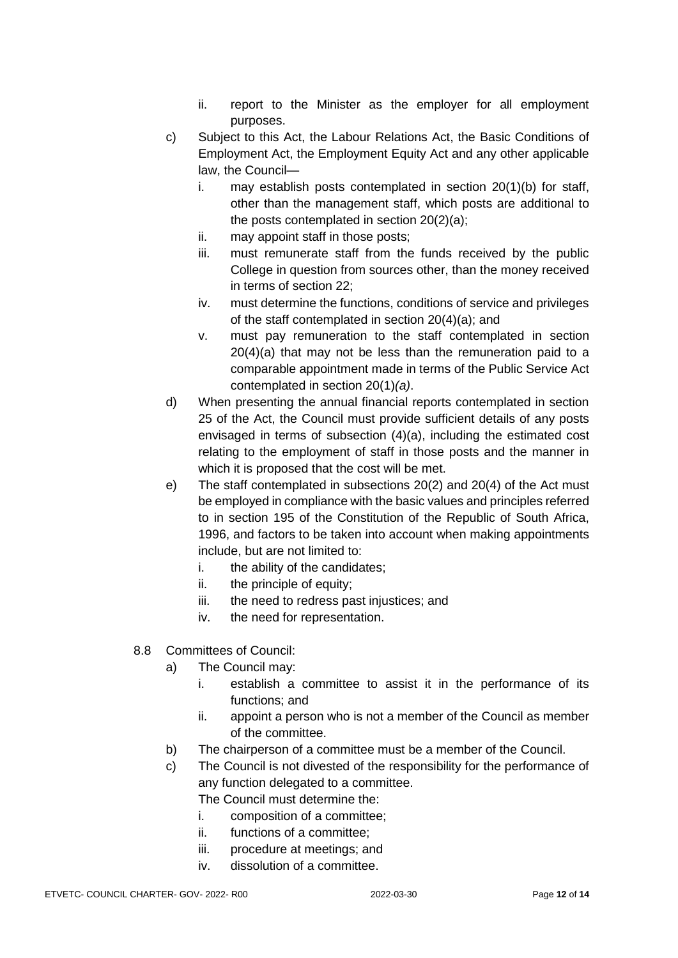- ii. report to the Minister as the employer for all employment purposes.
- c) Subject to this Act, the Labour Relations Act, the Basic Conditions of Employment Act, the Employment Equity Act and any other applicable law, the Council
	- i. may establish posts contemplated in section 20(1)(b) for staff, other than the management staff, which posts are additional to the posts contemplated in section 20(2)(a);
	- ii. may appoint staff in those posts;
	- iii. must remunerate staff from the funds received by the public College in question from sources other, than the money received in terms of section 22;
	- iv. must determine the functions, conditions of service and privileges of the staff contemplated in section 20(4)(a); and
	- v. must pay remuneration to the staff contemplated in section 20(4)(a) that may not be less than the remuneration paid to a comparable appointment made in terms of the Public Service Act contemplated in section 20(1)*(a)*.
- d) When presenting the annual financial reports contemplated in section 25 of the Act, the Council must provide sufficient details of any posts envisaged in terms of subsection (4)(a), including the estimated cost relating to the employment of staff in those posts and the manner in which it is proposed that the cost will be met.
- e) The staff contemplated in subsections 20(2) and 20(4) of the Act must be employed in compliance with the basic values and principles referred to in section 195 of the Constitution of the Republic of South Africa, 1996, and factors to be taken into account when making appointments include, but are not limited to:
	- i. the ability of the candidates;
	- ii. the principle of equity;
	- iii. the need to redress past injustices; and
	- iv. the need for representation.
- 8.8 Committees of Council:
	- a) The Council may:
		- i. establish a committee to assist it in the performance of its functions; and
		- ii. appoint a person who is not a member of the Council as member of the committee.
	- b) The chairperson of a committee must be a member of the Council.
	- c) The Council is not divested of the responsibility for the performance of any function delegated to a committee.
		- The Council must determine the:
		- i. composition of a committee;
		- ii. functions of a committee;
		- iii. procedure at meetings; and
		- iv. dissolution of a committee.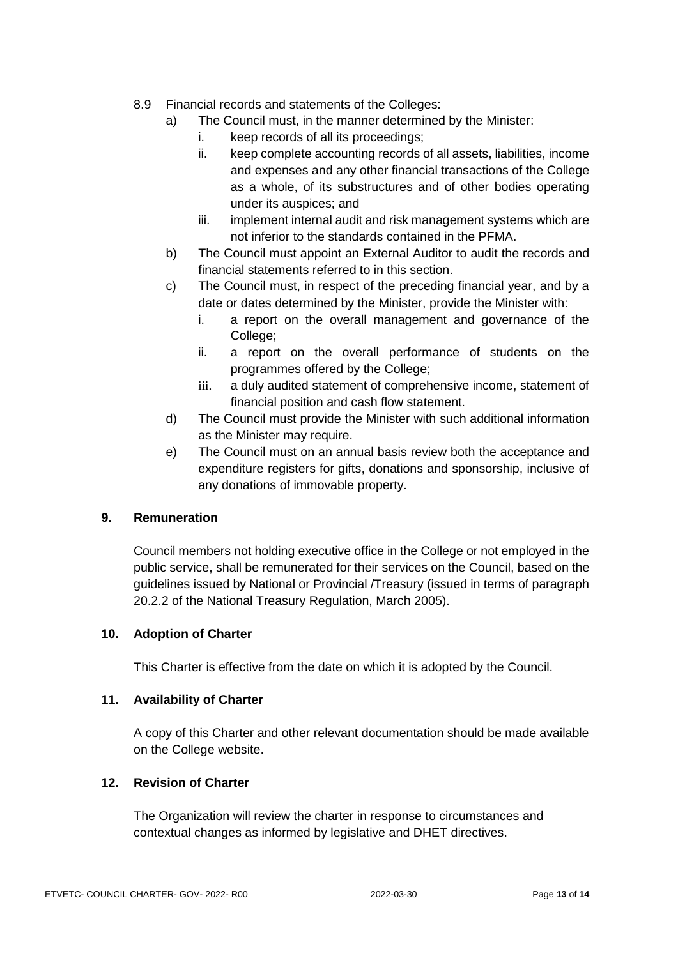- 8.9 Financial records and statements of the Colleges:
	- a) The Council must, in the manner determined by the Minister:
		- i. keep records of all its proceedings;
		- ii. keep complete accounting records of all assets, liabilities, income and expenses and any other financial transactions of the College as a whole, of its substructures and of other bodies operating under its auspices; and
		- iii. implement internal audit and risk management systems which are not inferior to the standards contained in the PFMA.
	- b) The Council must appoint an External Auditor to audit the records and financial statements referred to in this section.
	- c) The Council must, in respect of the preceding financial year, and by a date or dates determined by the Minister, provide the Minister with:
		- i. a report on the overall management and governance of the College;
		- ii. a report on the overall performance of students on the programmes offered by the College;
		- iii. a duly audited statement of comprehensive income, statement of financial position and cash flow statement.
	- d) The Council must provide the Minister with such additional information as the Minister may require.
	- e) The Council must on an annual basis review both the acceptance and expenditure registers for gifts, donations and sponsorship, inclusive of any donations of immovable property.

#### **9. Remuneration**

Council members not holding executive office in the College or not employed in the public service, shall be remunerated for their services on the Council, based on the guidelines issued by National or Provincial /Treasury (issued in terms of paragraph 20.2.2 of the National Treasury Regulation, March 2005).

#### **10. Adoption of Charter**

This Charter is effective from the date on which it is adopted by the Council.

#### **11. Availability of Charter**

A copy of this Charter and other relevant documentation should be made available on the College website.

#### **12. Revision of Charter**

The Organization will review the charter in response to circumstances and contextual changes as informed by legislative and DHET directives.